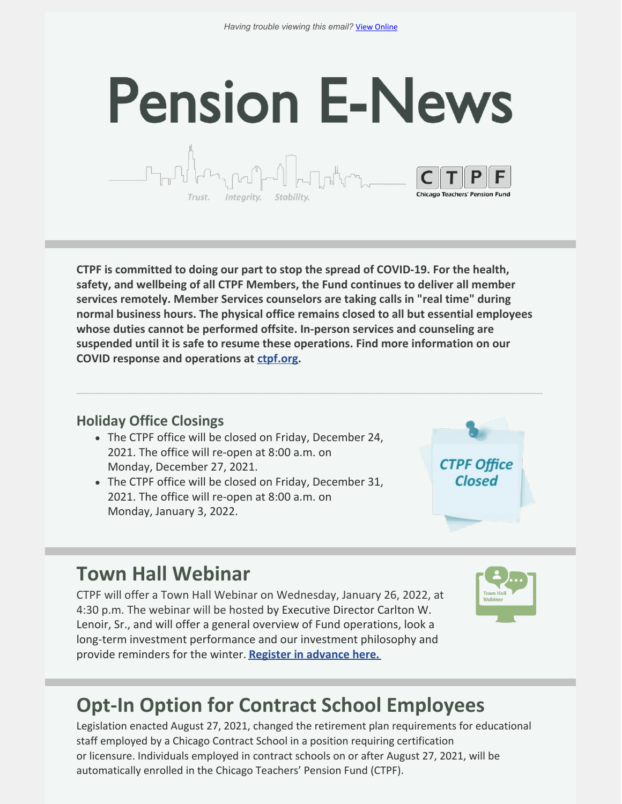# **Pension E-News** Integrity. Stability

**CTPF is committed to doing our part to stop the spread of COVID-19. For the health, safety, and wellbeing of all CTPF Members, the Fund continues to deliver all member services remotely. Member Services counselors are taking calls in "real time" during normal business hours. The physical office remains closed to all but essential employees whose duties cannot be performed offsite. In-person services and counseling are suspended until it is safe to resume these operations. Find more information on our COVID response and operations at [ctpf.org](https://ctpf.org/).**

**\_\_\_\_\_\_\_\_\_\_\_\_\_\_\_\_\_\_\_\_\_\_\_\_\_\_\_\_\_\_\_\_\_\_\_\_\_\_\_\_\_\_\_\_\_\_\_\_\_\_\_\_\_\_\_\_\_\_\_\_\_\_\_\_\_\_\_\_\_\_\_\_\_\_\_**

#### **Holiday Office Closings**

- The CTPF office will be closed on Friday, December 24, 2021. The office will re-open at 8:00 a.m. on Monday, December 27, 2021.
- The CTPF office will be closed on Friday, December 31, 2021. The office will re-open at 8:00 a.m. on Monday, January 3, 2022.



#### **Town Hall Webinar**

CTPF will offer a Town Hall Webinar on Wednesday, January 26, 2022, at 4:30 p.m. The webinar will be hosted by Executive Director Carlton W. Lenoir, Sr., and will offer a general overview of Fund operations, look a long-term investment performance and our investment philosophy and provide reminders for the winter. **Register in [advance](https://ctpf.zoom.us/webinar/register/WN_gyNSBg2nTwCfeDAJTwSQ6w) here.**



## **Opt-In Option for Contract School Employees**

Legislation enacted August 27, 2021, changed the retirement plan requirements for educational staff employed by a Chicago Contract School in a position requiring certification or licensure. Individuals employed in contract schools on or after August 27, 2021, will be automatically enrolled in the Chicago Teachers' Pension Fund (CTPF).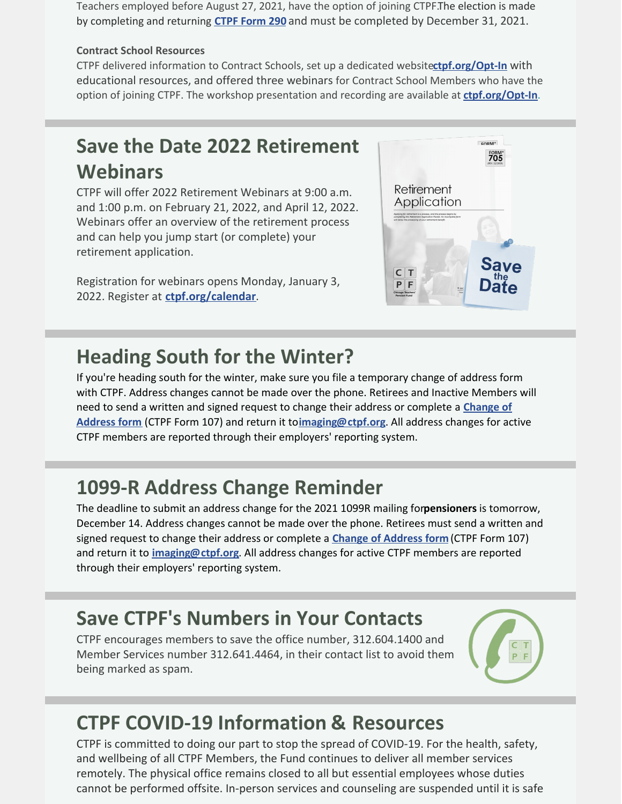Teachers employed before August 27, 2021, have the option of joining CTPF.The election is made by completing and returning **CTPF [Form](https://ctpf.org/sites/files/2021-11/FORM_290_Final_UPDATED 11421_0.pdf) 290** and must be completed by December 31, 2021.

#### **Contract School Resources**

CTPF delivered information to Contract Schools, set up a dedicated website**[ctpf.org/Opt-In](https://www.ctpf.org/Opt-In)** with educational resources, and offered three webinars for Contract School Members who have the option of joining CTPF. The workshop presentation and recording are available at **[ctpf.org/Opt-In](https://www.ctpf.org/Opt-In)**.

## **Save the Date 2022 Retirement Webinars**

CTPF will offer 2022 Retirement Webinars at 9:00 a.m. and 1:00 p.m. on February 21, 2022, and April 12, 2022. Webinars offer an overview of the retirement process and can help you jump start (or complete) your retirement application.

Registration for webinars opens Monday, January 3, 2022. Register at **[ctpf.org/calendar](https://ctpf.org/news-calendar/calendar)**.



#### **Heading South for the Winter?**

If you're heading south for the winter, make sure you file a temporary change of address form with CTPF. Address changes cannot be made over the phone. Retirees and Inactive Members will need to send a written and signed request to change their address or complete a **Change of Address form** (CTPF Form 107) and return it to**[imaging@ctpf.org](https://ctpf.org/sites/files/2020-10/change_of_address_form_0.pdf)**. All address changes for active CTPF members are reported through their employers' reporting system.

## **1099-R Address Change Reminder**

The deadline to submit an address change for the 2021 1099R mailing for**pensioners** is tomorrow, December 14. Address changes cannot be made over the phone. Retirees must send a written and signed request to change their address or complete a **Change of [Address](https://ctpf.org/sites/files/2020-10/change_of_address_form_0.pdf) form** (CTPF Form 107) and return it to **[imaging@ctpf.org](mailto:imaging@ctpf.org)**. All address changes for active CTPF members are reported through their employers' reporting system.

#### **Save CTPF's Numbers in Your Contacts**

CTPF encourages members to save the office number, 312.604.1400 and Member Services number 312.641.4464, in their contact list to avoid them being marked as spam.



## **CTPF COVID-19 Information & Resources**

CTPF is committed to doing our part to stop the spread of COVID-19. For the health, safety, and wellbeing of all CTPF Members, the Fund continues to deliver all member services remotely. The physical office remains closed to all but essential employees whose duties cannot be performed offsite. In-person services and counseling are suspended until it is safe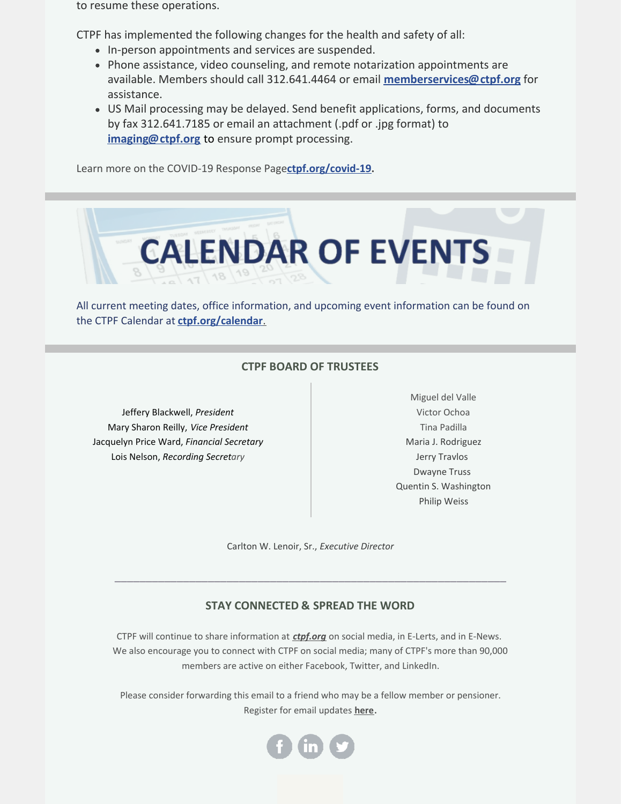to resume these operations.

CTPF has implemented the following changes for the health and safety of all:

- In-person appointments and services are suspended.
- Phone assistance, video counseling, and remote notarization appointments are available. Members should call 312.641.4464 or email **[memberservices@ctpf.org](mailto:memberservices@ctpf.org)** for assistance.
- US Mail processing may be delayed. Send benefit applications, forms, and documents by fax 312.641.7185 or email an attachment (.pdf or .jpg format) to **[imaging@ctpf.org](mailto:imaging@ctpf.org)** to ensure prompt processing.

Learn more on the COVID-19 Response Page**[ctpf.org/covid-19](https://ctpf.org/news-calendar/covid-19).**



All current meeting dates, office information, and upcoming event information can be found on the CTPF Calendar at **[ctpf.org/calendar](https://ctpf.org/news-calendar/calendar)**[.](https://ctpf.org/news-calendar/calendar)

#### **CTPF BOARD OF TRUSTEES**

Jeffery Blackwell, *President* Mary Sharon Reilly, *Vice President* Jacquelyn Price Ward, *Financial Secretary* Lois Nelson, *Recording Secretary*

Miguel del Valle Victor Ochoa Tina Padilla Maria J. Rodriguez Jerry Travlos Dwayne Truss Quentin S. Washington Philip Weiss

Carlton W. Lenoir, Sr., *Executive Director*

\_\_\_\_\_\_\_\_\_\_\_\_\_\_\_\_\_\_\_\_\_\_\_\_\_\_\_\_\_\_\_\_\_\_\_\_\_\_\_\_\_\_\_\_\_\_\_\_\_\_\_\_\_\_\_\_\_\_\_\_\_\_\_

#### **STAY CONNECTED & SPREAD THE WORD**

CTPF will continue to share information at *[ctpf.org](https://nam11.safelinks.protection.outlook.com/?url=http%3A%2F%2Fr20.rs6.net%2Ftn.jsp%3Ff%3D001Oq0TM6CVsKr16mBIJWQ5Txgxq1D0DQ71XepjiVhvp5Bdir-9OjtYv4LvxhiMPX2GMPhwQfjmGHSdxSfrYvZaxDcty5YgMIa2e4clI6Ts6waNsooyMHn65iLHXWPKwOOd30ezxEKSRSqFlYqdRQfouIjIJQZcg43n%26c%3DrrHtvthGwuyW-ZAKLc0ZJMgKnz-9DQ4rvOuN8tBf3R8ihnUal54aXQ%3D%3D%26ch%3DsUd1tqkBvQncZr6j3v8_KZ5FYGxfMqIG7_Uzp-Y8v0_abEJ6gyT9OQ%3D%3D&data=04%7C01%7Ckaisere%40ctpf.org%7Ca8d8058eb5784c1d00c408d97862b086%7Ca881b9a43fe041eb97266e31ebe4d79e%7C1%7C1%7C637673187538378334%7CUnknown%7CTWFpbGZsb3d8eyJWIjoiMC4wLjAwMDAiLCJQIjoiV2luMzIiLCJBTiI6Ik1haWwiLCJXVCI6Mn0%3D%7C2000&sdata=ZcVOMCBM0BfT2fvi6WFD2bOfU%2FDpDXFwLKqUbjlrJRI%3D&reserved=0)* on social media, in E-Lerts, and in E-News. We also encourage you to connect with CTPF on social media; many of CTPF's more than 90,000 members are active on either Facebook, Twitter, and LinkedIn.

Please consider forwarding this email to a friend who may be a fellow member or pensioner. Register for email updates **[here](https://nam11.safelinks.protection.outlook.com/?url=http%3A%2F%2Fr20.rs6.net%2Ftn.jsp%3Ff%3D001Oq0TM6CVsKr16mBIJWQ5Txgxq1D0DQ71XepjiVhvp5Bdir-9OjtYv2alLWRjItSi41VOVQYLBbbOx2uSotrg_jsUewXaontdBcCweMzZygP9UW20T1cB8I1Rst8sHfd-uuqzKP5Qb8vmEYpFv8RFdtoJb4huFB7xnhLlHOpsZRE%3D%26c%3DrrHtvthGwuyW-ZAKLc0ZJMgKnz-9DQ4rvOuN8tBf3R8ihnUal54aXQ%3D%3D%26ch%3DsUd1tqkBvQncZr6j3v8_KZ5FYGxfMqIG7_Uzp-Y8v0_abEJ6gyT9OQ%3D%3D&data=04%7C01%7Ckaisere%40ctpf.org%7Ca8d8058eb5784c1d00c408d97862b086%7Ca881b9a43fe041eb97266e31ebe4d79e%7C1%7C1%7C637673187538378334%7CUnknown%7CTWFpbGZsb3d8eyJWIjoiMC4wLjAwMDAiLCJQIjoiV2luMzIiLCJBTiI6Ik1haWwiLCJXVCI6Mn0%3D%7C2000&sdata=JBOfYXXj9egz1TwwWTdZpw3RG4ySDStWzjkXE1gfoaM%3D&reserved=0)**.